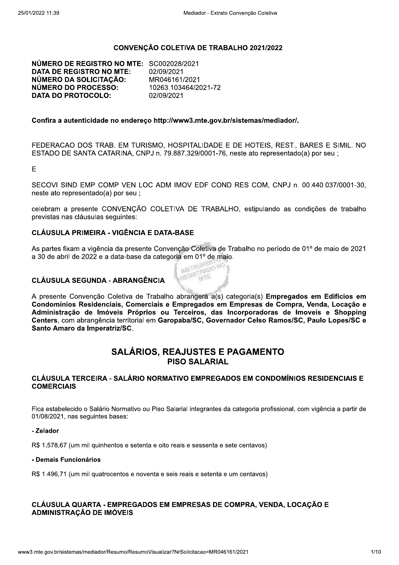### CONVENÇÃO COLETIVA DE TRABALHO 2021/2022

NÚMERO DE REGISTRO NO MTE: SC002028/2021 **DATA DE REGISTRO NO MTE:** 02/09/2021 NÚMERO DA SOLICITAÇÃO: MR046161/2021 NÚMERO DO PROCESSO: 10263.103464/2021-72 **DATA DO PROTOCOLO:** 02/09/2021

#### Confira a autenticidade no endereco http://www3.mte.gov.br/sistemas/mediador/.

FEDERACAO DOS TRAB. EM TURISMO, HOSPITALIDADE E DE HOTEIS, REST., BARES E SIMIL, NO ESTADO DE SANTA CATARINA, CNPJ n. 79.887.329/0001-76, neste ato representado(a) por seu ;

E.

SECOVI SIND EMP COMP VEN LOC ADM IMOV EDF COND RES COM, CNPJ n. 00.440.037/0001-30, neste ato representado(a) por seu;

celebram a presente CONVENÇÃO COLETIVA DE TRABALHO, estipulando as condições de trabalho previstas nas cláusulas seguintes:

### **CLÁUSULA PRIMEIRA - VIGÊNCIA E DATA-BASE**

As partes fixam a vigência da presente Convenção Coletiva de Trabalho no período de 01º de maio de 2021 a 30 de abril de 2022 e a data-base da categoria em 01º de maio. REGISTRADO NC **INSTRUB** 

### **CLÁUSULA SEGUNDA - ABRANGÊNCIA**

A presente Convenção Coletiva de Trabalho abrangerá a(s) categoria(s) Empregados em Edifícios em Condomínios Residenciais, Comerciais e Empregados em Empresas de Compra, Venda, Locação e Administração de Imóveis Próprios ou Terceiros, das Incorporadoras de Imoveis e Shopping Centers, com abrangência territorial em Garopaba/SC, Governador Celso Ramos/SC, Paulo Lopes/SC e Santo Amaro da Imperatriz/SC.

### **SALÁRIOS. REAJUSTES E PAGAMENTO PISO SALARIAL**

#### CLÁUSULA TERCEIRA - SALÁRIO NORMATIVO EMPREGADOS EM CONDOMÍNIOS RESIDENCIAIS E **COMERCIAIS**

Fica estabelecido o Salário Normativo ou Piso Salarial integrantes da categoria profissional, com vigência a partir de 01/08/2021, nas sequintes bases:

#### - Zelador

R\$ 1.578.67 (um mil quinhentos e setenta e oito reais e sessenta e sete centavos)

#### - Demais Funcionários

R\$ 1.496,71 (um mil quatrocentos e noventa e seis reais e setenta e um centavos)

### CLÁUSULA QUARTA - EMPREGADOS EM EMPRESAS DE COMPRA. VENDA. LOCACÃO E **ADMINISTRAÇÃO DE IMÓVEIS**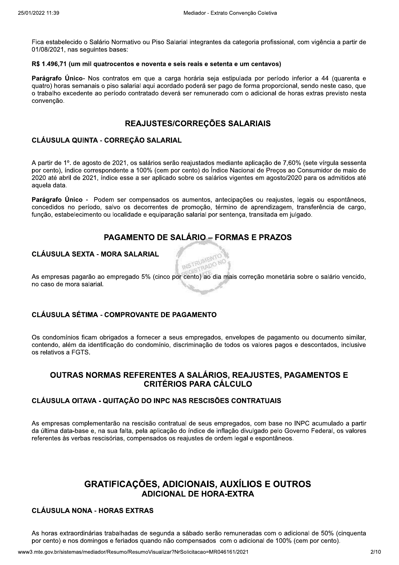Fica estabelecido o Salário Normativo ou Piso Salarial integrantes da categoria profissional, com vigência a partir de 01/08/2021, nas sequintes bases:

#### R\$ 1.496,71 (um mil quatrocentos e noventa e seis reais e setenta e um centavos)

Parágrafo Único- Nos contratos em que a carga horária seja estipulada por período inferior a 44 (quarenta e quatro) horas semanais o piso salarial aqui acordado poderá ser pago de forma proporcional, sendo neste caso, que o trabalho excedente ao período contratado deverá ser remunerado com o adicional de horas extras previsto nesta convencão.

### REAJUSTES/CORREÇÕES SALARIAIS

### CLÁUSULA QUINTA - CORREÇÃO SALARIAL

A partir de 1º. de agosto de 2021, os salários serão reajustados mediante aplicação de 7,60% (sete vírgula sessenta por cento), índice correspondente a 100% (cem por cento) do Índice Nacional de Preços ao Consumidor de maio de 2020 até abril de 2021, índice esse a ser aplicado sobre os salários vigentes em agosto/2020 para os admitidos até aquela data.

Parágrafo Único - Podem ser compensados os aumentos, antecipações ou reajustes, legais ou espontâneos, concedidos no período, salvo os decorrentes de promoção, término de aprendizagem, transferência de cargo, função, estabelecimento ou localidade e equiparação salarial por sentença, transitada em julgado.

## **PAGAMENTO DE SALÁRIO – FORMAS E PRAZOS**

#### **CLÁUSULA SEXTA - MORA SALARIAL**

**CRADO NO** As empresas pagarão ao empregado 5% (cinco por cento) ao dia mais correção monetária sobre o salário vencido, no caso de mora salarial.

INSTRUMENTO

### **CLÁUSULA SÉTIMA - COMPROVANTE DE PAGAMENTO**

Os condomínios ficam obrigados a fornecer a seus empregados, envelopes de pagamento ou documento similar. contendo, além da identificação do condomínio, discriminação de todos os valores pagos e descontados, inclusive os relativos a FGTS.

### OUTRAS NORMAS REFERENTES A SALÁRIOS, REAJUSTES, PAGAMENTOS E **CRITÉRIOS PARA CÁLCULO**

### **CLÁUSULA OITAVA - QUITACÃO DO INPC NAS RESCISÕES CONTRATUAIS**

As empresas complementarão na rescisão contratual de seus empregados, com base no INPC acumulado a partir da última data-base e, na sua falta, pela aplicação do índice de inflação divulgado pelo Governo Federal, os valores referentes às verbas rescisórias, compensados os reajustes de ordem legal e espontâneos.

# **GRATIFICACÕES, ADICIONAIS, AUXÍLIOS E OUTROS ADICIONAL DE HORA-EXTRA**

### **CLÁUSULA NONA - HORAS EXTRAS**

As horas extraordinárias trabalhadas de segunda a sábado serão remuneradas com o adicional de 50% (cinguenta por cento) e nos domingos e feriados quando não compensados com o adicional de 100% (cem por cento).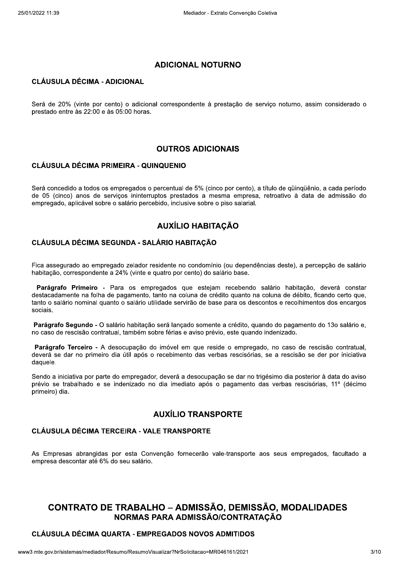### **ADICIONAL NOTURNO**

### **CLÁUSULA DÉCIMA - ADICIONAL**

Será de 20% (vinte por cento) o adicional correspondente à prestação de servico noturno, assim considerado o prestado entre às 22:00 e às 05:00 horas.

### **OUTROS ADICIONAIS**

### **CLÁUSULA DÉCIMA PRIMEIRA - QUINQUENIO**

Será concedido a todos os empregados o percentual de 5% (cinco por cento), a título de güingüênio, a cada período de 05 (cinco) anos de serviços ininterruptos prestados a mesma empresa, retroativo à data de admissão do empregado, aplicável sobre o salário percebido, inclusive sobre o piso salarial.

## **AUXÍLIO HABITACÃO**

### CLÁUSULA DÉCIMA SEGUNDA - SALÁRIO HABITAÇÃO

Fica assegurado ao empregado zelador residente no condomínio (ou dependências deste), a percepção de salário habitação, correspondente a 24% (vinte e quatro por cento) do salário base.

Parágrafo Primeiro - Para os empregados que estejam recebendo salário habitação, deverá constar destacadamente na folha de pagamento, tanto na coluna de crédito quanto na coluna de débito, ficando certo que, tanto o salário nominal quanto o salário utilidade servirão de base para os descontos e recolhimentos dos encargos sociais.

Parágrafo Segundo - O salário habitação será lançado somente a crédito, quando do pagamento do 13o salário e, no caso de rescisão contratual, também sobre férias e aviso prévio, este quando indenizado.

Parágrafo Terceiro - A desocupação do imóvel em que reside o empregado, no caso de rescisão contratual, deverá se dar no primeiro dia útil após o recebimento das verbas rescisórias, se a rescisão se der por iniciativa daquele.

Sendo a iniciativa por parte do empregador, deverá a desocupação se dar no trigésimo dia posterior à data do aviso prévio se trabalhado e se indenizado no dia imediato após o pagamento das verbas rescisórias, 11º (décimo primeiro) dia.

### **AUXÍLIO TRANSPORTE**

### **CLÁUSULA DÉCIMA TERCEIRA - VALE TRANSPORTE**

As Empresas abrangidas por esta Convenção fornecerão vale-transporte aos seus empregados, facultado a empresa descontar até 6% do seu salário.

# **CONTRATO DE TRABALHO - ADMISSÃO, DEMISSÃO, MODALIDADES** NORMAS PARA ADMISSÃO/CONTRATACÃO

### **CLÁUSULA DÉCIMA QUARTA - EMPREGADOS NOVOS ADMITIDOS**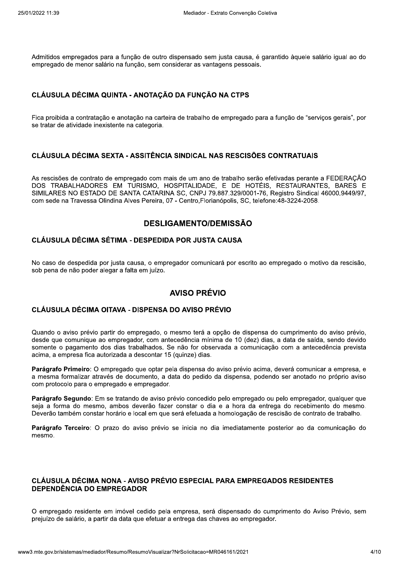Admitidos empregados para a função de outro dispensado sem justa causa, é garantido àguele salário jqual ao do empregado de menor salário na função, sem considerar as vantagens pessoais.

### CLÁUSULA DÉCIMA QUINTA - ANOTAÇÃO DA FUNÇÃO NA CTPS

Fica proibida a contratação e anotação na carteira de trabalho de empregado para a função de "serviços gerais", por se tratar de atividade inexistente na categoria.

### CLÁUSULA DÉCIMA SEXTA - ASSITÊNCIA SINDICAL NAS RESCISÕES CONTRATUAIS

As rescisões de contrato de empregado com mais de um ano de trabalho serão efetivadas perante a FEDERAÇÃO DOS TRABALHADORES EM TURISMO, HOSPITALIDADE, E DE HOTÉIS, RESTAURANTES, BARES E SIMILARES NO ESTADO DE SANTA CATARINA SC, CNPJ 79.887.329/0001-76, Registro Sindical 46000.9449/97, com sede na Travessa Olindina Alves Pereira, 07 - Centro, Florianópolis, SC, telefone: 48-3224-2058.

### **DESLIGAMENTO/DEMISSÃO**

### CLÁUSULA DÉCIMA SÉTIMA - DESPEDIDA POR JUSTA CAUSA

No caso de despedida por justa causa, o empregador comunicará por escrito ao empregado o motivo da rescisão, sob pena de não poder alegar a falta em juízo.

### **AVISO PRÉVIO**

### CLÁUSULA DÉCIMA OITAVA - DISPENSA DO AVISO PRÉVIO

Quando o aviso prévio partir do empregado, o mesmo terá a opção de dispensa do cumprimento do aviso prévio, desde que comunique ao empregador, com antecedência mínima de 10 (dez) dias, a data de saída, sendo devido somente o pagamento dos dias trabalhados. Se não for observada a comunicação com a antecedência prevista acima, a empresa fica autorizada a descontar 15 (quinze) dias.

Parágrafo Primeiro: O empregado que optar pela dispensa do aviso prévio acima, deverá comunicar a empresa, e a mesma formalizar através de documento, a data do pedido da dispensa, podendo ser anotado no próprio aviso com protocolo para o empregado e empregador.

Parágrafo Segundo: Em se tratando de aviso prévio concedido pelo empregado ou pelo empregador, qualquer que seja a forma do mesmo, ambos deverão fazer constar o dia e a hora da entrega do recebimento do mesmo. Deverão também constar horário e local em que será efetuada a homologação de rescisão de contrato de trabalho.

Parágrafo Terceiro: O prazo do aviso prévio se inicia no dia imediatamente posterior ao da comunicação do mesmo.

### CLÁUSULA DÉCIMA NONA - AVISO PRÉVIO ESPECIAL PARA EMPREGADOS RESIDENTES **DEPENDÊNCIA DO EMPREGADOR**

O empregado residente em imóvel cedido pela empresa, será dispensado do cumprimento do Aviso Prévio, sem prejuízo de salário, a partir da data que efetuar a entrega das chaves ao empregador.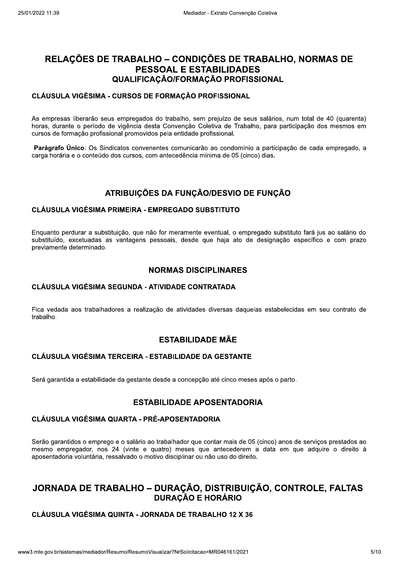# RELAÇÕES DE TRABALHO – CONDIÇÕES DE TRABALHO, NORMAS DE **PESSOAL E ESTABILIDADES** QUALIFICAÇÃO/FORMAÇÃO PROFISSIONAL

#### CLÁUSULA VIGÉSIMA - CURSOS DE FORMAÇÃO PROFISSIONAL

As empresas liberarão seus empregados do trabalho, sem prejuízo de seus salários, num total de 40 (quarenta) horas, durante o período de vigência desta Convenção Coletiva de Trabalho, para participação dos mesmos em cursos de formação profissional promovidos pela entidade profissional.

Parágrafo Único: Os Sindicatos convenentes comunicarão ao condomínio a participação de cada empregado, a carga horária e o conteúdo dos cursos, com antecedência mínima de 05 (cinco) dias.

## ATRIBUIÇÕES DA FUNÇÃO/DESVIO DE FUNÇÃO

### **CLÁUSULA VIGÉSIMA PRIMEIRA - EMPREGADO SUBSTITUTO**

Enguanto perdurar a substituição, que não for meramente eventual, o empregado substituto fará jus ao salário do substituído, excetuadas as vantagens pessoais, desde que haja ato de designação específico e com prazo previamente determinado.

### **NORMAS DISCIPLINARES**

#### **CLÁUSULA VIGÉSIMA SEGUNDA - ATIVIDADE CONTRATADA**

Fica vedada aos trabalhadores a realização de atividades diversas daquelas estabelecidas em seu contrato de trabalho.

### **ESTABILIDADE MÃE**

### **CLÁUSULA VIGÉSIMA TERCEIRA - ESTABILIDADE DA GESTANTE**

Será garantida a estabilidade da gestante desde a concepção até cinco meses após o parto.

### **ESTABILIDADE APOSENTADORIA**

## **CLÁUSULA VIGÉSIMA QUARTA - PRÉ-APOSENTADORIA**

Serão garantidos o emprego e o salário ao trabalhador que contar mais de 05 (cinco) anos de serviços prestados ao mesmo empregador, nos 24 (vinte e quatro) meses que antecederem a data em que adquire o direito à aposentadoria voluntária, ressalvado o motivo disciplinar ou não uso do direito.

## JORNADA DE TRABALHO - DURAÇÃO, DISTRIBUIÇÃO, CONTROLE, FALTAS **DURAÇÃO E HORÁRIO**

### **CLÁUSULA VIGÉSIMA QUINTA - JORNADA DE TRABALHO 12 X 36**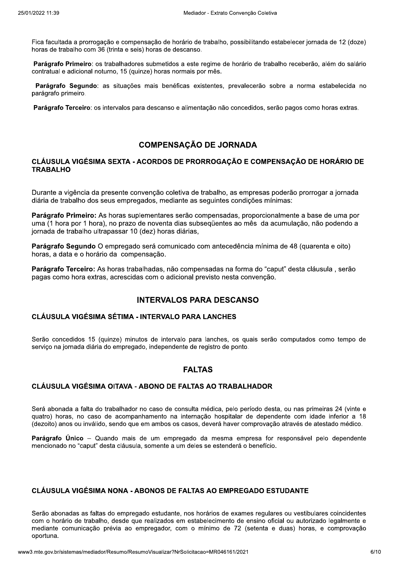Fica facultada a prorrogação e compensação de horário de trabalho, possibilitando estabelecer jornada de 12 (doze) horas de trabalho com 36 (trinta e seis) horas de descanso.

Parágrafo Primeiro: os trabalhadores submetidos a este regime de horário de trabalho receberão, além do salário contratual e adicional noturno, 15 (quinze) horas normais por mês.

Parágrafo Segundo: as situações mais benéficas existentes, prevalecerão sobre a norma estabelecida no parágrafo primeiro.

Parágrafo Terceiro: os intervalos para descanso e alimentação não concedidos, serão pagos como horas extras.

## **COMPENSAÇÃO DE JORNADA**

### CLÁUSULA VIGÉSIMA SEXTA - ACORDOS DE PRORROGAÇÃO E COMPENSAÇÃO DE HORÁRIO DE **TRABALHO**

Durante a vigência da presente convenção coletiva de trabalho, as empresas poderão prorrogar a jornada diária de trabalho dos seus empregados, mediante as seguintes condições mínimas:

Parágrafo Primeiro: As horas suplementares serão compensadas, proporcionalmente a base de uma por uma (1 hora por 1 hora), no prazo de noventa dias subsegüentes ao mês da acumulação, não podendo a jornada de trabalho ultrapassar 10 (dez) horas diárias,

Parágrafo Segundo O empregado será comunicado com antecedência mínima de 48 (quarenta e oito) horas, a data e o horário da compensação.

Parágrafo Terceiro: As horas trabalhadas, não compensadas na forma do "caput" desta cláusula, serão pagas como hora extras, acrescidas com o adicional previsto nesta convenção.

## **INTERVALOS PARA DESCANSO**

### **CLÁUSULA VIGÉSIMA SÉTIMA - INTERVALO PARA LANCHES**

Serão concedidos 15 (quinze) minutos de intervalo para lanches, os quais serão computados como tempo de serviço na jornada diária do empregado, independente de registro de ponto.

## **FALTAS**

### CLÁUSULA VIGÉSIMA OITAVA - ABONO DE FALTAS AO TRABALHADOR

Será abonada a falta do trabalhador no caso de consulta médica, pelo período desta, ou nas primeiras 24 (vinte e quatro) horas, no caso de acompanhamento na internação hospitalar de dependente com idade inferior a 18 (dezoito) anos ou inválido, sendo que em ambos os casos, deverá haver comprovação através de atestado médico,

Parágrafo Único – Quando mais de um empregado da mesma empresa for responsável pelo dependente mencionado no "caput" desta cláusula, somente a um deles se estenderá o benefício.

### CLÁUSULA VIGÉSIMA NONA - ABONOS DE FALTAS AO EMPREGADO ESTUDANTE

Serão abonadas as faltas do empregado estudante, nos horários de exames regulares ou vestibulares coincidentes com o horário de trabalho, desde que realizados em estabelecimento de ensino oficial ou autorizado legalmente e mediante comunicação prévia ao empregador, com o mínimo de 72 (setenta e duas) horas, e comprovação oportuna.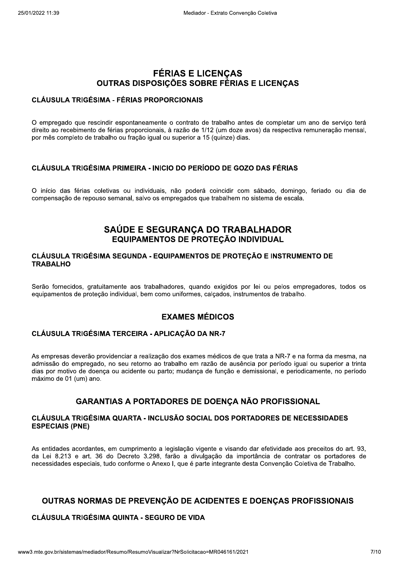# **FÉRIAS E LICENÇAS** OUTRAS DISPOSIÇÕES SOBRE FÉRIAS E LICENCAS

### **CLÁUSULA TRIGÉSIMA - FÉRIAS PROPORCIONAIS**

O empregado que rescindir espontaneamente o contrato de trabalho antes de completar um ano de servico terá direito ao recebimento de férias proporcionais, à razão de 1/12 (um doze avos) da respectiva remuneração mensal, por mês completo de trabalho ou fração igual ou superior a 15 (guinze) dias.

### CLÁUSULA TRIGÉSIMA PRIMEIRA - INICIO DO PERÍODO DE GOZO DAS FÉRIAS

O início das férias coletivas ou individuais, não poderá coincidir com sábado, domingo, feriado ou dia de compensação de repouso semanal, salvo os empregados que trabalhem no sistema de escala.

## SAÚDE E SEGURANÇA DO TRABALHADOR EQUIPAMENTOS DE PROTEÇÃO INDIVIDUAL

### CLÁUSULA TRIGÉSIMA SEGUNDA - EQUIPAMENTOS DE PROTECÃO E INSTRUMENTO DE **TRABALHO**

Serão fornecidos, gratuitamente aos trabalhadores, guando exigidos por lei ou pelos empregadores, todos os equipamentos de proteção individual, bem como uniformes, calcados, instrumentos de trabalho.

## **EXAMES MÉDICOS**

### CLÁUSULA TRIGÉSIMA TERCEIRA - APLICAÇÃO DA NR-7

As empresas deverão providenciar a realização dos exames médicos de que trata a NR-7 e na forma da mesma, na admissão do empregado, no seu retorno ao trabalho em razão de ausência por período igual ou superior a trinta dias por motivo de doenca ou acidente ou parto; mudanca de função e demissional, e periodicamente, no período máximo de 01 (um) ano.

### **GARANTIAS A PORTADORES DE DOENCA NÃO PROFISSIONAL**

### CLÁUSULA TRIGÉSIMA QUARTA - INCLUSÃO SOCIAL DOS PORTADORES DE NECESSIDADES **ESPECIAIS (PNE)**

As entidades acordantes, em cumprimento a legislação vigente e visando dar efetividade aos preceitos do art. 93, da Lei 8.213 e art. 36 do Decreto 3.298, farão a divulgação da importância de contratar os portadores de necessidades especiais, tudo conforme o Anexo I, que é parte integrante desta Convenção Coletiva de Trabalho.

# OUTRAS NORMAS DE PREVENÇÃO DE ACIDENTES E DOENÇAS PROFISSIONAIS

# **CLÁUSULA TRIGÉSIMA QUINTA - SEGURO DE VIDA**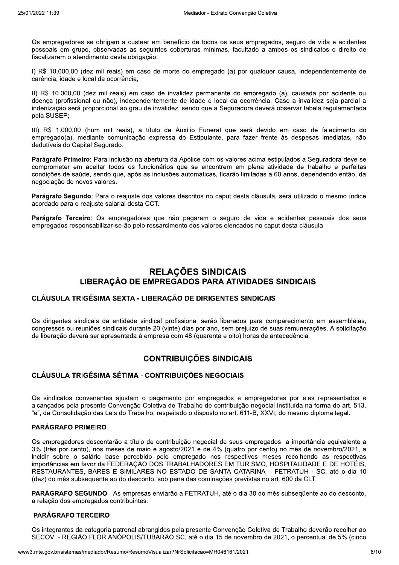Os empregadores se obrigam a custear em benefício de todos os seus empregados, seguro de vida e acidentes pessoais em grupo, observadas as seguintes coberturas mínimas, facultado a ambos os sindicatos o direito de fiscalizarem o atendimento desta obrigação:

I) R\$ 10.000.00 (dez mil reais) em caso de morte do empregado (a) por qualquer causa, independentemente de carência, idade e local da ocorrência:

II) R\$ 10.000,00 (dez mil reais) em caso de invalidez permanente do empregado (a), causada por acidente ou doença (profissional ou não), independentemente de idade e local da ocorrência. Caso a invalidez seja parcial a indenização será proporcional ao grau de invalidez, sendo que a Seguradora deverá observar tabela regulamentada pela SUSEP:

III) R\$ 1.000.00 (hum mil reais), a título de Auxílio Funeral que será devido em caso de falecimento do empregado(a), mediante comunicação expressa do Estipulante, para fazer frente às despesas imediatas, não dedutíveis do Capital Segurado.

Parágrafo Primeiro: Para inclusão na abertura da Apólice com os valores acima estipulados a Seguradora deve se comprometer em aceitar todos os funcionários que se encontrem em plena atividade de trabalho e perfeitas condições de saúde, sendo que, após as inclusões automáticas, ficarão limitadas a 60 anos, dependendo então, da negociação de novos valores.

Parágrafo Segundo: Para o reajuste dos valores descritos no caput desta cláusula, será utilizado o mesmo índice acordado para o reajuste salarial desta CCT.

Parágrafo Terceiro: Os empregadores que não pagarem o seguro de vida e acidentes pessoais dos seus empregados responsabilizar-se-ão pelo ressarcimento dos valores elencados no caput desta cláusula.

# **RELAÇÕES SINDICAIS** LIBERAÇÃO DE EMPREGADOS PARA ATIVIDADES SINDICAIS

### CLÁUSULA TRIGÉSIMA SEXTA - LIBERAÇÃO DE DIRIGENTES SINDICAIS

Os dirigentes sindicais da entidade sindical profissional serão liberados para comparecimento em assembléias, congressos ou reuniões sindicais durante 20 (vinte) dias por ano, sem prejuízo de suas remunerações. A solicitação de liberação deverá ser apresentada à empresa com 48 (quarenta e oito) horas de antecedência.

### **CONTRIBUICÕES SINDICAIS**

### CLÁUSULA TRIGÉSIMA SÉTIMA - CONTRIBUIÇÕES NEGOCIAIS

Os sindicatos convenentes ajustam o pagamento por empregados e empregadores por eles representados e alcancados pela presente Convenção Coletiva de Trabalho de contribuição negocial instituída na forma do art. 513, "e", da Consolidação das Leis do Trabalho, respeitado o disposto no art. 611-B, XXVI, do mesmo diploma legal.

#### **PARÁGRAFO PRIMEIRO**

Os empregadores descontarão a título de contribuição negocial de seus empregados a importância equivalente a 3% (três por cento), nos meses de maio e agosto/2021 e de 4% (quatro por cento) no mês de novembro/2021, a incidir sobre o salário base percebido pelo empregado nos respectivos meses recolhendo as respectivas importâncias em favor da FEDERAÇÃO DOS TRABALHADORES EM TURISMO, HOSPITALIDADE E DE HOTÉIS, RESTAURANTES, BARES E SIMILARES NO ESTADO DE SANTA CATARINA - FETRATUH - SC, até o dia 10 (dez) do mês subsequente ao do desconto, sob pena das cominações previstas no art. 600 da CLT.

PARÁGRAFO SEGUNDO - As empresas enviarão a FETRATUH, até o dia 30 do mês subsequente ao do desconto, a relação dos empregados contribuintes.

#### **PARÁGRAFO TERCEIRO**

Os integrantes da categoria patronal abrangidos pela presente Convenção Coletiva de Trabalho deverão recolher ao SECOVI - REGIÃO FLORIANÓPOLIS/TUBARÃO SC, até o dia 15 de novembro de 2021, o percentual de 5% (cinco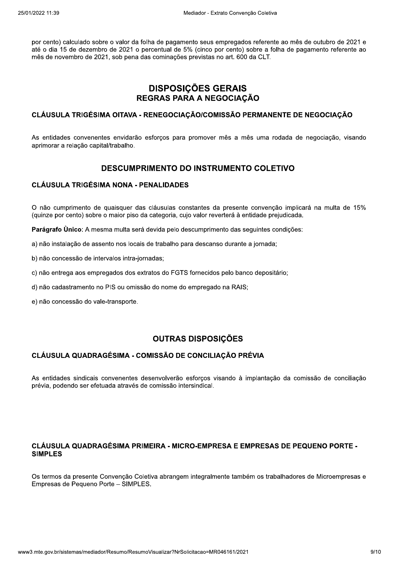por cento) calculado sobre o valor da folha de pagamento seus empregados referente ao mês de outubro de 2021 e até o dia 15 de dezembro de 2021 o percentual de 5% (cinco por cento) sobre a folha de pagamento referente ao mês de novembro de 2021, sob pena das cominações previstas no art. 600 da CLT.

# **DISPOSIÇÕES GERAIS** REGRAS PARA A NEGOCIAÇÃO

### CLÁUSULA TRIGÉSIMA OITAVA - RENEGOCIACÃO/COMISSÃO PERMANENTE DE NEGOCIACÃO

As entidades convenentes envidarão esforcos para promover mês a mês uma rodada de negociação, visando aprimorar a relação capital/trabalho.

### **DESCUMPRIMENTO DO INSTRUMENTO COLETIVO**

### **CLÁUSULA TRIGÉSIMA NONA - PENALIDADES**

O não cumprimento de quaisquer das cláusulas constantes da presente convenção implicará na multa de 15% (quinze por cento) sobre o maior piso da categoria, cujo valor reverterá à entidade prejudicada.

Parágrafo Unico: A mesma multa será devida pelo descumprimento das seguintes condições:

- a) não instalação de assento nos locais de trabalho para descanso durante a jornada;
- b) não concessão de intervalos intra-jornadas;
- c) não entrega aos empregados dos extratos do FGTS fornecidos pelo banco depositário;
- d) não cadastramento no PIS ou omissão do nome do empregado na RAIS;
- e) não concessão do vale-transporte.

## **OUTRAS DISPOSIÇÕES**

## CLÁUSULA QUADRAGÉSIMA - COMISSÃO DE CONCILIAÇÃO PRÉVIA

As entidades sindicais convenentes desenvolverão esforços visando à implantação da comissão de conciliação prévia, podendo ser efetuada através de comissão intersindical.

### CLÁUSULA QUADRAGÉSIMA PRIMEIRA - MICRO-EMPRESA E EMPRESAS DE PEQUENO PORTE -**SIMPLES**

Os termos da presente Convenção Coletiva abrangem integralmente também os trabalhadores de Microempresas e Empresas de Pequeno Porte - SIMPLES.